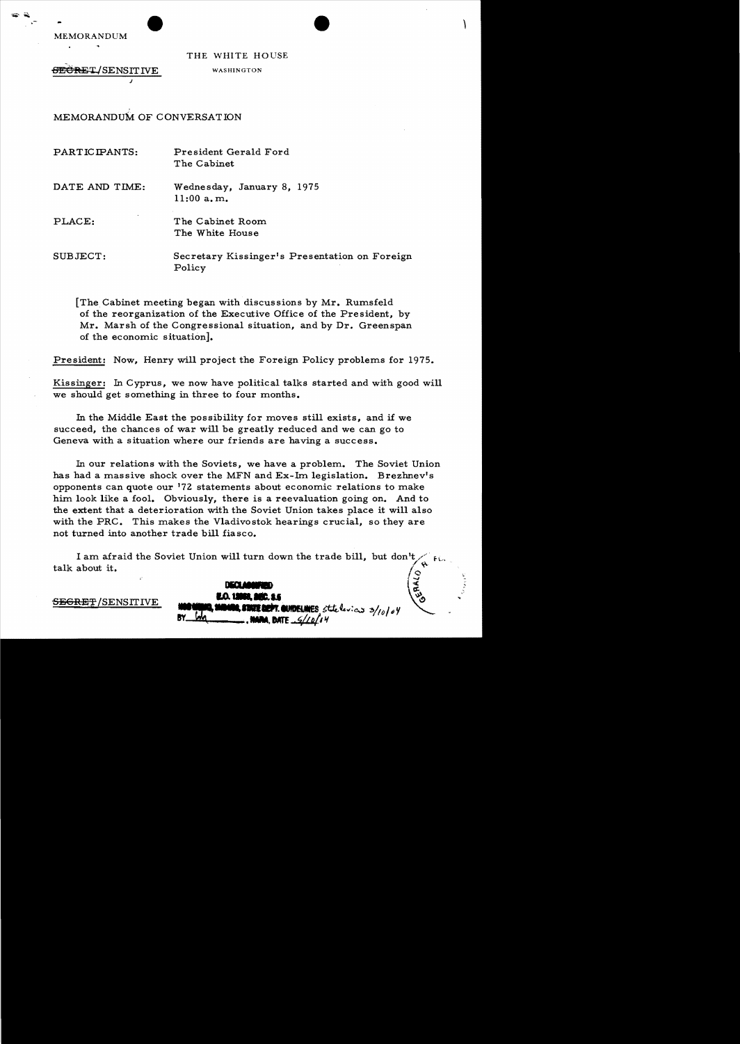

THE WHITE HOUSE WASHINGTON

 $\sqrt{2}$ 

<del>SECRE</del>T/SENSITIVE

<del>SECRET</del>/SENSITIVE

MEMORANDUM OF CONVERSATION

j

| PARTICIPANTS:  | President Gerald Ford<br>The Cabinet                    |
|----------------|---------------------------------------------------------|
| DATE AND TIME: | Wednesday, January 8, 1975<br>11:00 a.m.                |
| PLACE:         | The Cabinet Room<br>The White House                     |
| SUBJECT:       | Secretary Kissinger's Presentation on Foreign<br>Policy |

[The Cabinet meeting began with discussions by Mr. Rumsfe1d of the reorganization of the Executive Office of the President, by Mr. Marsh of the Congressional situation, and by Dr. Greenspan of the economic situation].

President: Now, Henry will project the Foreign Policy problems for 1975.

Kissinger: In Cyprus, we now have political talks started and with good will we should get something in three to four months.

In the Middle East the possibility for moves still exists, and if we succeed, the chances of war will be greatly reduced and we can go to Geneva with a situation where our friends are having a success.

In our relations with the Soviets, we have a problem. The Soviet Union has had a massive shock over the MFN and  $Ex$ -Im legislation. Brezhnev's opponents can quote our 172 statements about economic relations to make him look like a fool. Obviously, there is a reevaluation going on. And to the extent that a deterioration with the Soviet Union takes place it will also with the PRC. This makes the Vladivostok hearings crucial, so they are not turned into another trade bill fiasco.

I am afraid the Soviet Union will turn down the trade bill, but don't OFFARLD talk about it.  $\int_{\mathcal{Q}} \mathfrak{g}^{\mathcal{A}}$ 

 $\log \frac{1}{\epsilon}$ 

 $\sim$ 3/10/04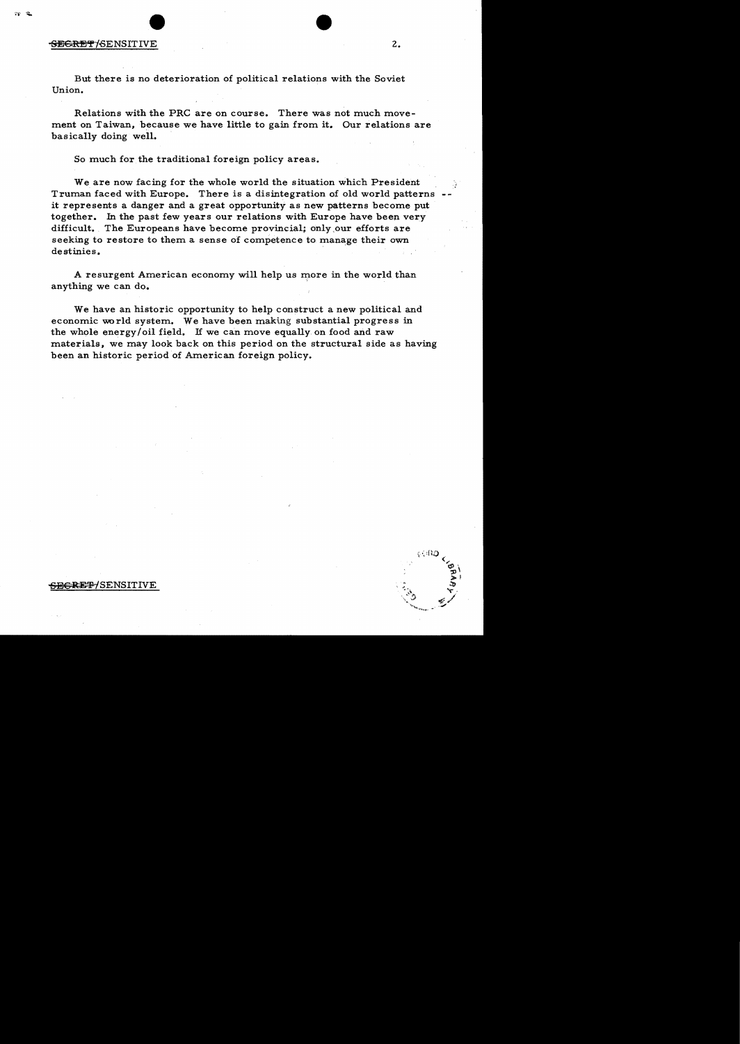## **SECRET**/SENSITIVE 2.

But there is no deterioration of political relations with the Soviet Union.

Relations with the PRC are on course. There was not much movement on Taiwan, because we have little to gain from it. Our relations are basically doing well.

So much for the traditional foreign policy areas.

We are now facing for the whole world the situation which President Truman faced with Europe. There is a disintegration of old world patterns it represents a danger and a great opportunity as new patterns become put together. In the past few years our relations with Europe have been very difficult. The Europeans have become provincial; only our efforts are seeking to restore to them a sense of competence to manage their own destinies. .

A resurgent American economy will help us more in the world than anything we can do.

We have an historic opportunity to help construct a new political and economic world system. We have been making substantial progress in the whole energy/oil field. If we can move equally on food and raw materials, we may look back on this period on the structural side as having been an historic period of American foreign policy.

## . ~~~~

## <del>SECRET/</del>SENSITIVE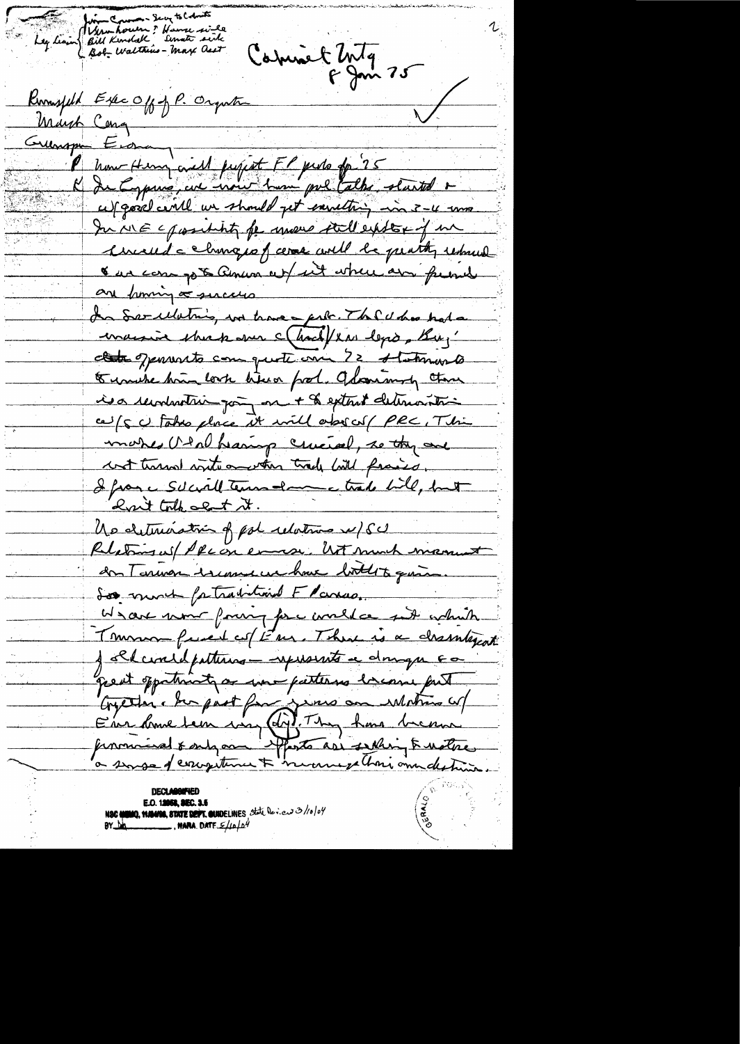Leg leain Bill Kendal " Hause sink Commet 2ntg<br>6 Juin 25 Runsfild Exec Off of P. Organtic Mayh Cong Gueropa Eigen Phone Henry civil project FP puls for 25 cut good centle un should get earrething in 3-4 uns In ME c prosecution for move still existen of me himself a changes of cere will be pearthy removed & an compt annum out int where are friend are finning a succession In Secululing we have pit The U has hold maisir shirk over charal/la legio, Bu,' class openints can quote one 72 statements to unche him look lieux food. Odomining theme is a revolution pay on + & extent determination ce/s c takes place it will absorb PRC, This make Utal hearing cricial, so they are cost turns intercentus trade will fraise. I from a Solarly Terms - land todal, but <u>hait toth about it.</u> Us deterioring pol relative w/ SC Relations us / PRC on enough Mot much manust an Tarmon iscours use have lookits quin. Soo mont fatravion Flanco. We are now foury fore world ce sut which Tommon fused of Em. There is a chamberat J chcircle patterns - represents a dompor 60 great opportunity or une patterns bicome fut Concerter : her past for june au Motres co/<br>Eur donne tem vous Cop Thy has been

**E.O. 12058, SEC. 3.5** NSC WIND, WANNO, STATE DEFT. CURDELINES State Dev.ew 3/10/04